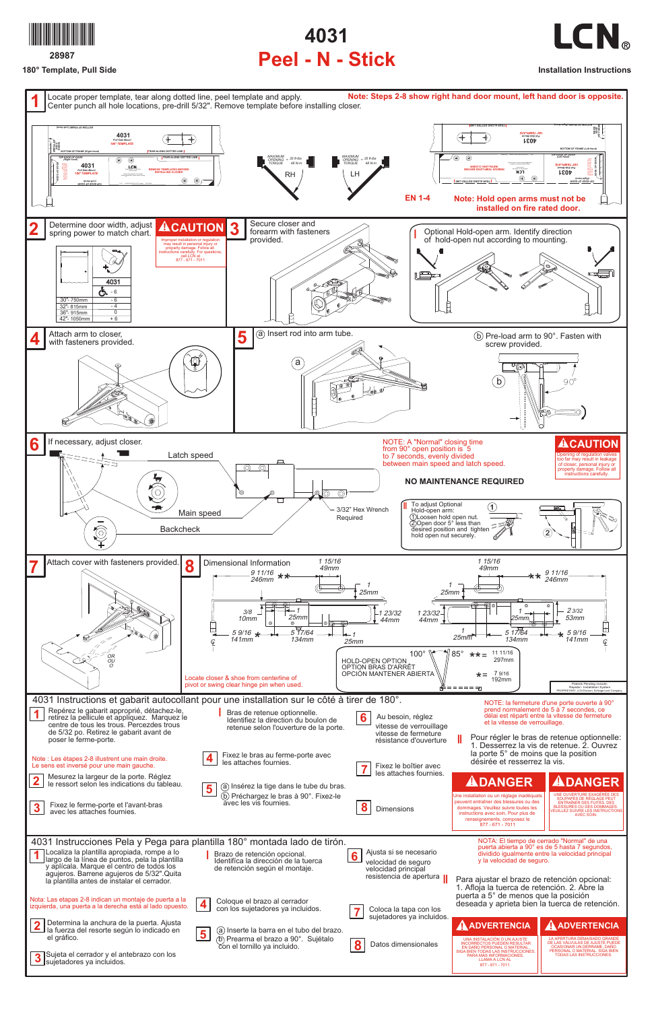

**28987**

**180° Template, Pull Side**

## **4031 Peel - N - Stick**

**Installation Instructions**